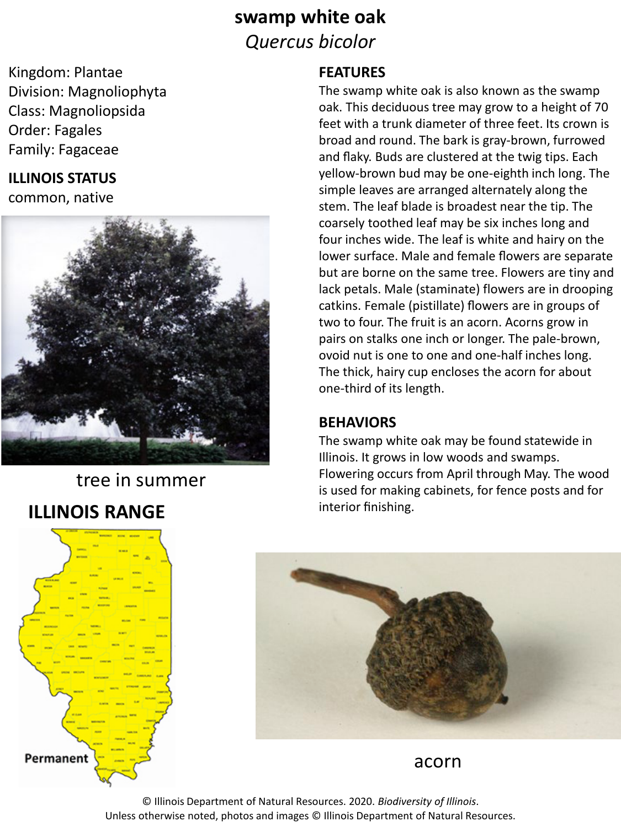# **swamp white oak** *Quercus bicolor*

Kingdom: Plantae Division: Magnoliophyta Class: Magnoliopsida Order: Fagales Family: Fagaceae

#### **ILLINOIS STATUS**

common, native



# tree in summer

## **ILLINOIS RANGE**

#### **FEATURES**

The swamp white oak is also known as the swamp oak. This deciduous tree may grow to a height of 70 feet with a trunk diameter of three feet. Its crown is broad and round. The bark is gray-brown, furrowed and flaky. Buds are clustered at the twig tips. Each yellow-brown bud may be one-eighth inch long. The simple leaves are arranged alternately along the stem. The leaf blade is broadest near the tip. The coarsely toothed leaf may be six inches long and four inches wide. The leaf is white and hairy on the lower surface. Male and female flowers are separate but are borne on the same tree. Flowers are tiny and lack petals. Male (staminate) flowers are in drooping catkins. Female (pistillate) flowers are in groups of two to four. The fruit is an acorn. Acorns grow in pairs on stalks one inch or longer. The pale-brown, ovoid nut is one to one and one-half inches long. The thick, hairy cup encloses the acorn for about one-third of its length.

#### **BEHAVIORS**

The swamp white oak may be found statewide in Illinois. It grows in low woods and swamps. Flowering occurs from April through May. The wood is used for making cabinets, for fence posts and for interior finishing.





acorn

© Illinois Department of Natural Resources. 2020. *Biodiversity of Illinois*. Unless otherwise noted, photos and images © Illinois Department of Natural Resources.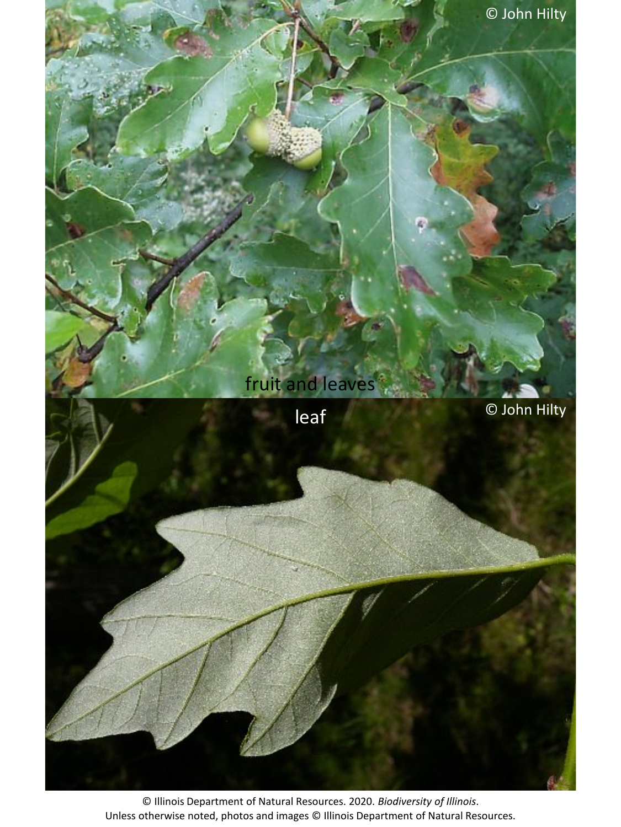

© Illinois Department of Natural Resources. 2020. *Biodiversity of Illinois*. Unless otherwise noted, photos and images © Illinois Department of Natural Resources.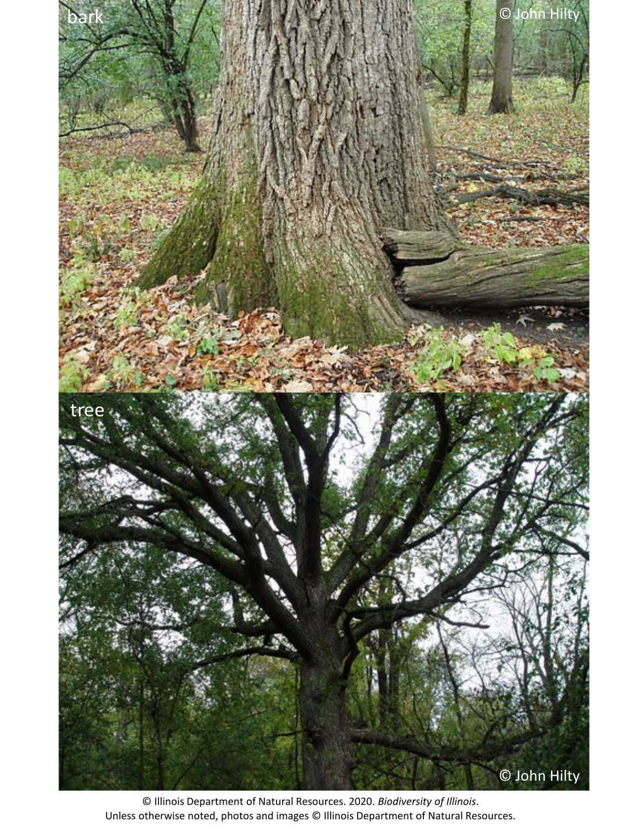

© Illinois Department of Natural Resources. 2020. *Biodiversity of Illinois*. Unless otherwise noted, photos and images © Illinois Department of Natural Resources.